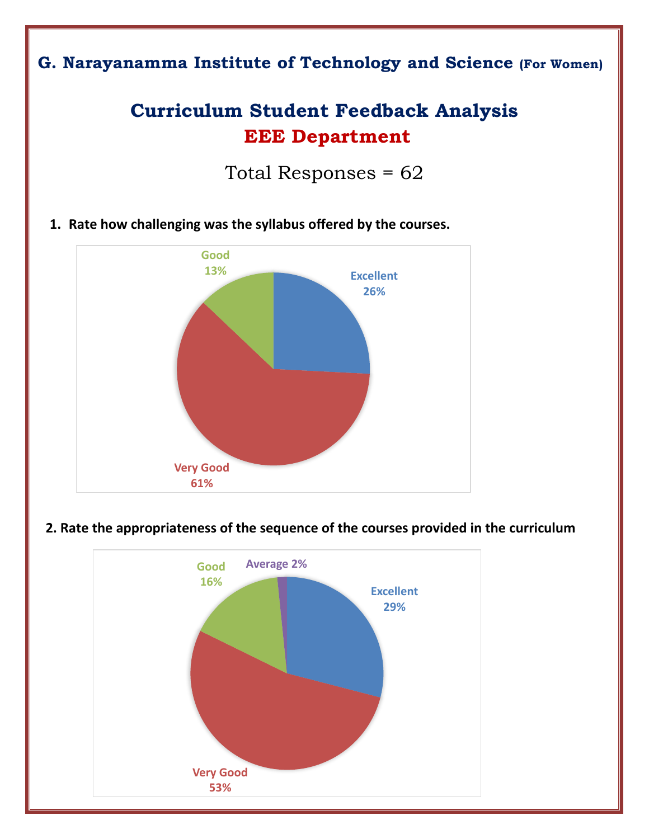# **G. Narayanamma Institute of Technology and Science (For Women)**

# **Curriculum Student Feedback Analysis EEE Department**

Total Responses = 62

**1. Rate how challenging was the syllabus offered by the courses.** 



#### **2. Rate the appropriateness of the sequence of the courses provided in the curriculum**

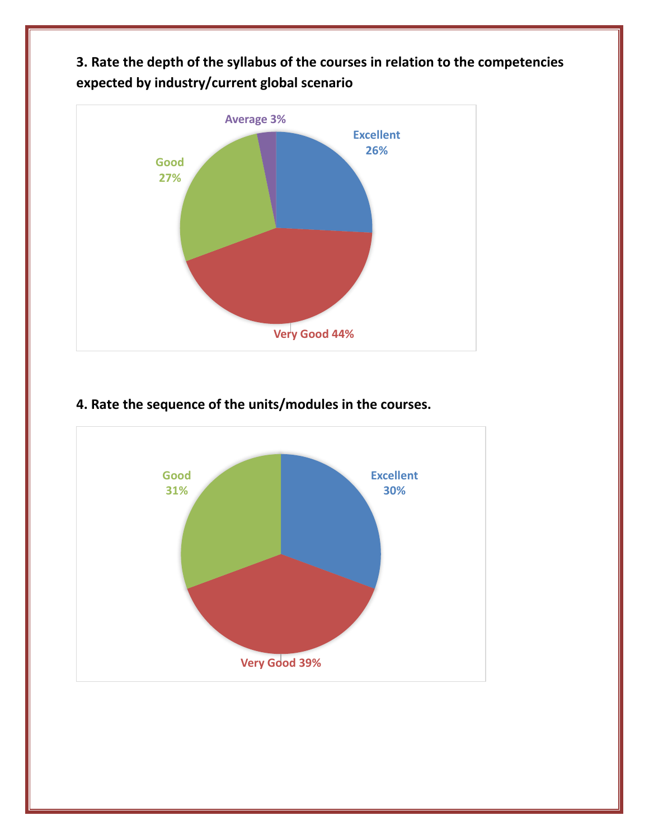**3. Rate the depth of the syllabus of the courses in relation to the competencies expected by industry/current global scenario**



### **4. Rate the sequence of the units/modules in the courses.**

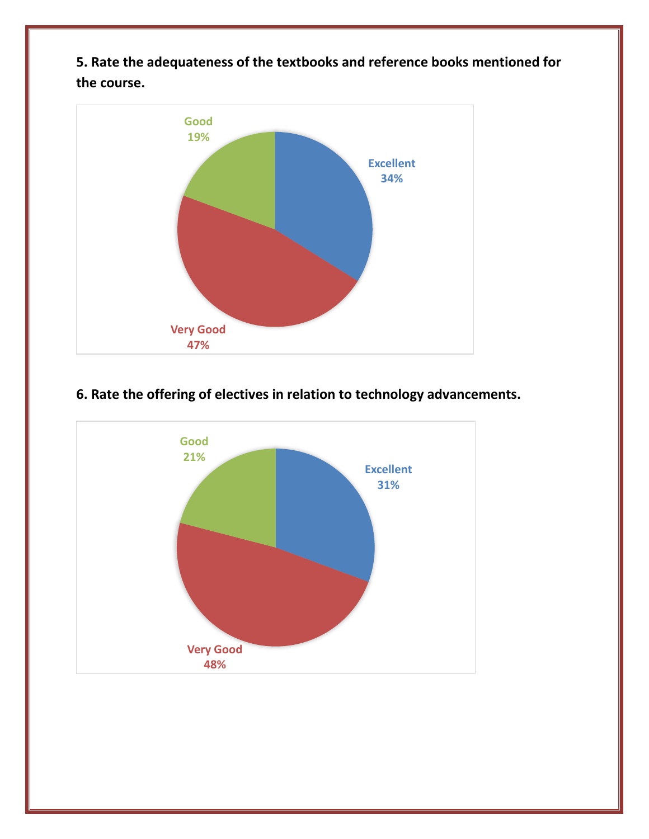**5. Rate the adequateness of the textbooks and reference books mentioned for the course.**



## **6. Rate the offering of electives in relation to technology advancements.**

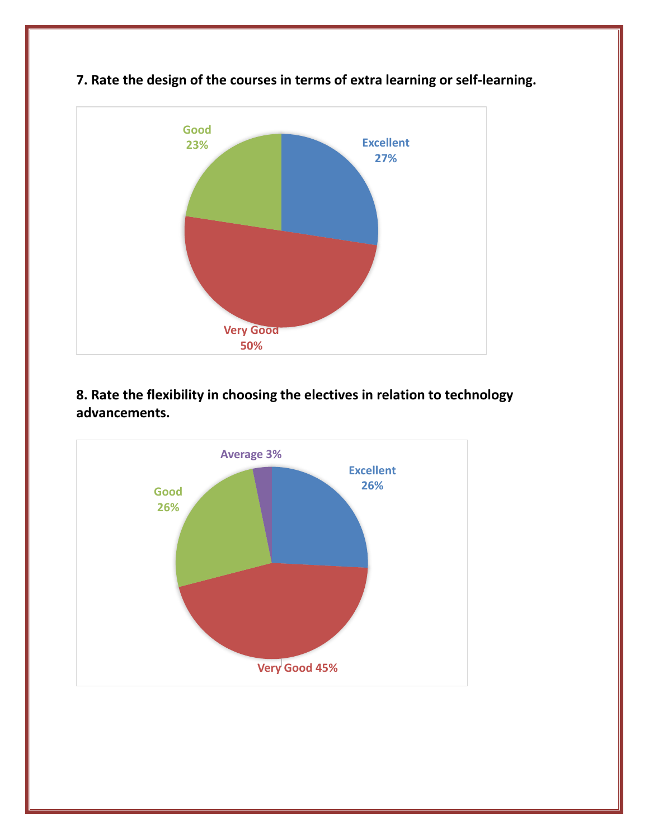

**7. Rate the design of the courses in terms of extra learning or self-learning.**

**8. Rate the flexibility in choosing the electives in relation to technology advancements.**

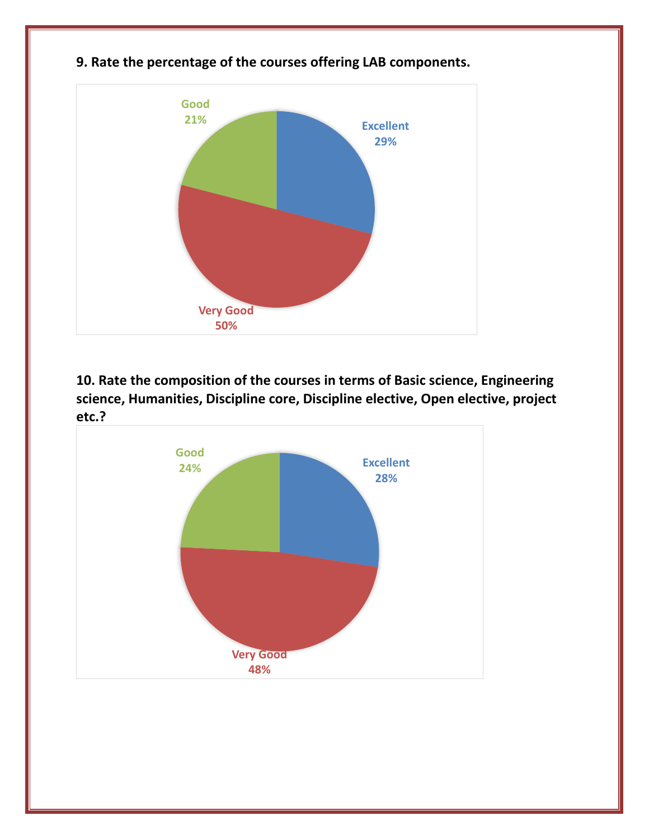

### **9. Rate the percentage of the courses offering LAB components.**

**10. Rate the composition of the courses in terms of Basic science, Engineering science, Humanities, Discipline core, Discipline elective, Open elective, project etc.?**